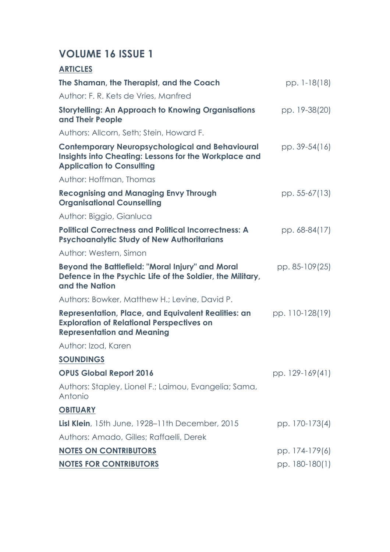## **VOLUME 16 ISSUE 1**

| <b>ARTICLES</b>                                                                                                                                     |                 |
|-----------------------------------------------------------------------------------------------------------------------------------------------------|-----------------|
| The Shaman, the Therapist, and the Coach                                                                                                            | pp. 1-18(18)    |
| Author: F. R. Kets de Vries, Manfred                                                                                                                |                 |
| <b>Storytelling: An Approach to Knowing Organisations</b><br>and Their People                                                                       | pp. 19-38(20)   |
| Authors: Allcorn, Seth; Stein, Howard F.                                                                                                            |                 |
| <b>Contemporary Neuropsychological and Behavioural</b><br>Insights into Cheating: Lessons for the Workplace and<br><b>Application to Consulting</b> | pp. 39-54(16)   |
| Author: Hoffman, Thomas                                                                                                                             |                 |
| <b>Recognising and Managing Envy Through</b><br><b>Organisational Counselling</b>                                                                   | pp. 55-67(13)   |
| Author: Biggio, Gianluca                                                                                                                            |                 |
| <b>Political Correctness and Political Incorrectness: A</b><br><b>Psychoanalytic Study of New Authoritarians</b>                                    | pp. 68-84(17)   |
| Author: Western, Simon                                                                                                                              |                 |
| <b>Beyond the Battlefield: "Moral Injury" and Moral</b><br>Defence in the Psychic Life of the Soldier, the Military,<br>and the Nation              | pp. 85-109(25)  |
| Authors: Bowker, Matthew H.; Levine, David P.                                                                                                       |                 |
| Representation, Place, and Equivalent Realities: an<br><b>Exploration of Relational Perspectives on</b><br><b>Representation and Meaning</b>        | pp. 110-128(19) |
| Author: Izod, Karen                                                                                                                                 |                 |
| <b>SOUNDINGS</b>                                                                                                                                    |                 |
| <b>OPUS Global Report 2016</b>                                                                                                                      | pp. 129-169(41) |
| Authors: Stapley, Lionel F.; Laimou, Evangelia; Sama,<br>Antonio                                                                                    |                 |
| <b>OBITUARY</b>                                                                                                                                     |                 |
| <b>Lisl Klein</b> , 15th June, 1928–11th December, 2015                                                                                             | pp. 170-173(4)  |
| Authors: Amado, Gilles; Raffaelli, Derek                                                                                                            |                 |
| <b>NOTES ON CONTRIBUTORS</b>                                                                                                                        | pp. 174-179(6)  |
| <b>NOTES FOR CONTRIBUTORS</b>                                                                                                                       | pp. 180-180(1)  |